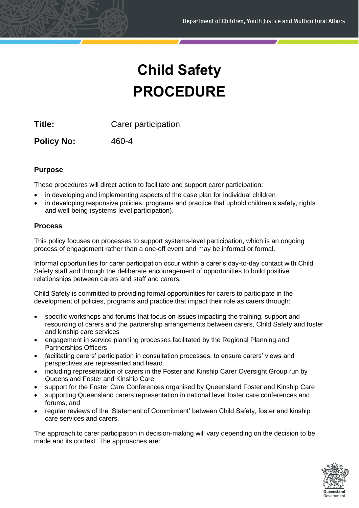# **Child Safety PROCEDURE**

**Title:** Carer participation

**Policy No:** 460-4

# **Purpose**

These procedures will direct action to facilitate and support carer participation:

- in developing and implementing aspects of the case plan for individual children
- in developing responsive policies, programs and practice that uphold children's safety, rights and well-being (systems-level participation).

# **Process**

This policy focuses on processes to support systems-level participation, which is an ongoing process of engagement rather than a one-off event and may be informal or formal.

Informal opportunities for carer participation occur within a carer's day-to-day contact with Child Safety staff and through the deliberate encouragement of opportunities to build positive relationships between carers and staff and carers.

Child Safety is committed to providing formal opportunities for carers to participate in the development of policies, programs and practice that impact their role as carers through:

- specific workshops and forums that focus on issues impacting the training, support and resourcing of carers and the partnership arrangements between carers, Child Safety and foster and kinship care services
- engagement in service planning processes facilitated by the Regional Planning and Partnerships Officers
- facilitating carers' participation in consultation processes, to ensure carers' views and perspectives are represented and heard
- including representation of carers in the Foster and Kinship Carer Oversight Group run by Queensland Foster and Kinship Care
- support for the Foster Care Conferences organised by Queensland Foster and Kinship Care
- supporting Queensland carers representation in national level foster care conferences and forums, and
- regular reviews of the 'Statement of Commitment' between Child Safety, foster and kinship care services and carers.

The approach to carer participation in decision-making will vary depending on the decision to be made and its context. The approaches are:

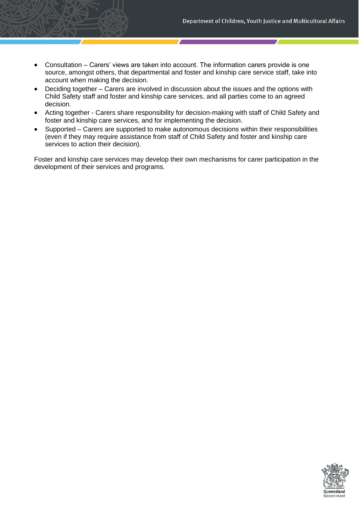- Consultation Carers' views are taken into account. The information carers provide is one source, amongst others, that departmental and foster and kinship care service staff, take into account when making the decision.
- Deciding together Carers are involved in discussion about the issues and the options with Child Safety staff and foster and kinship care services, and all parties come to an agreed decision.
- Acting together Carers share responsibility for decision-making with staff of Child Safety and foster and kinship care services, and for implementing the decision.
- Supported Carers are supported to make autonomous decisions within their responsibilities (even if they may require assistance from staff of Child Safety and foster and kinship care services to action their decision).

Foster and kinship care services may develop their own mechanisms for carer participation in the development of their services and programs.